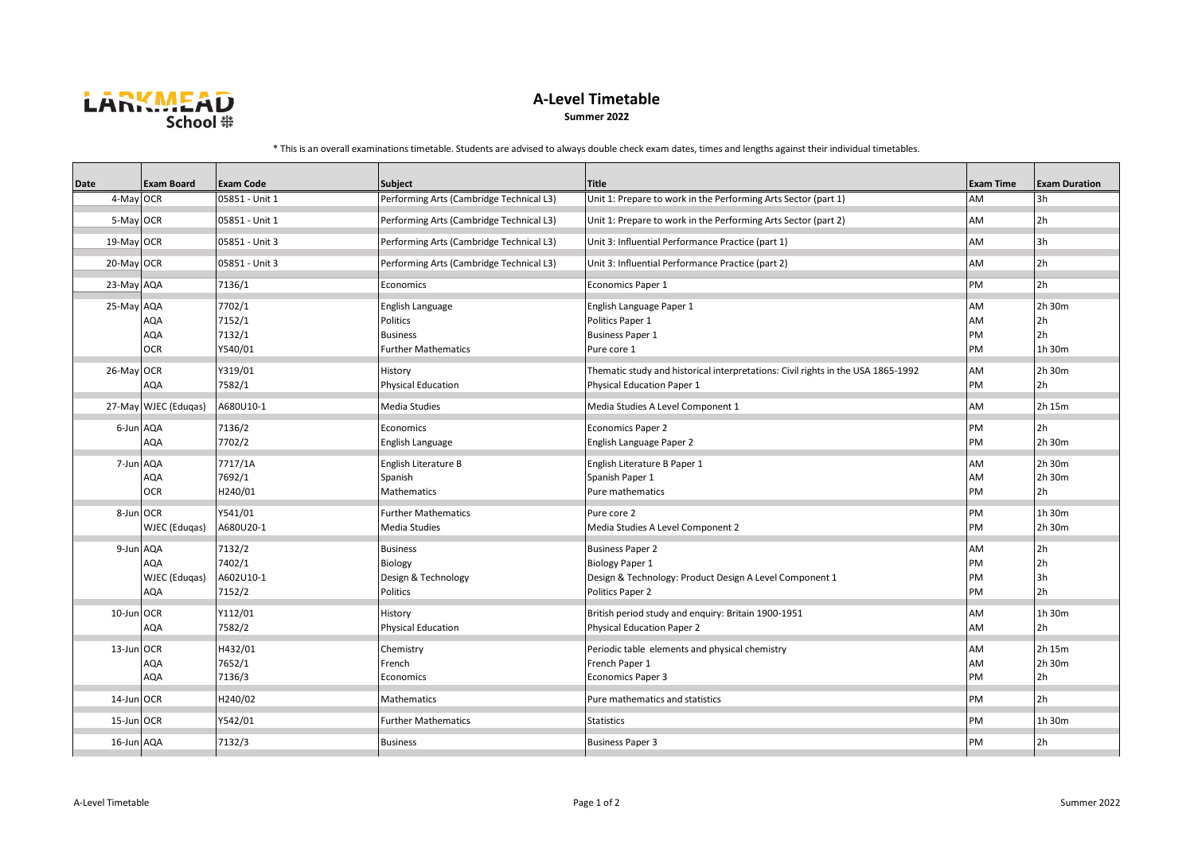

## **A-Level Timetable**

**Summer 2022**

\* This is an overall examinations timetable. Students are advised to always double check exam dates, times and lengths against their individual timetables.

| <b>Date</b> | <b>Exam Board</b>               | <b>Exam Code</b>                        | <b>Subject</b>                                                                | <b>Title</b>                                                                                                                     | <b>Exam Time</b>     | <b>Exam Duration</b>             |
|-------------|---------------------------------|-----------------------------------------|-------------------------------------------------------------------------------|----------------------------------------------------------------------------------------------------------------------------------|----------------------|----------------------------------|
| 4-May OCR   |                                 | 05851 - Unit 1                          | Performing Arts (Cambridge Technical L3)                                      | Unit 1: Prepare to work in the Performing Arts Sector (part 1)                                                                   | AM                   | 3h                               |
| 5-May OCR   |                                 | 05851 - Unit 1                          | Performing Arts (Cambridge Technical L3)                                      | Unit 1: Prepare to work in the Performing Arts Sector (part 2)                                                                   | AM                   | 2h                               |
| 19-May OCR  |                                 | 05851 - Unit 3                          | Performing Arts (Cambridge Technical L3)                                      | Unit 3: Influential Performance Practice (part 1)                                                                                | AM                   | 3h                               |
| 20-May OCR  |                                 | 05851 - Unit 3                          | Performing Arts (Cambridge Technical L3)                                      | Unit 3: Influential Performance Practice (part 2)                                                                                | AM                   | 2 <sub>h</sub>                   |
| 23-May AQA  |                                 | 7136/1                                  | Economics                                                                     | <b>Economics Paper 1</b>                                                                                                         | PM                   | 2 <sub>h</sub>                   |
| 25-May AQA  | AQA<br><b>AQA</b><br><b>OCR</b> | 7702/1<br>7152/1<br>7132/1<br>Y540/01   | English Language<br>Politics<br><b>Business</b><br><b>Further Mathematics</b> | English Language Paper 1<br>Politics Paper 1<br><b>Business Paper 1</b><br>Pure core 1                                           | AM<br>AM<br>PM<br>PM | 2h 30m<br>2h<br>2h<br>1h 30m     |
| 26-May OCR  | AQA                             | Y319/01<br>7582/1                       | History<br><b>Physical Education</b>                                          | Thematic study and historical interpretations: Civil rights in the USA 1865-1992<br>Physical Education Paper 1                   | AM<br>PM             | 2h 30m<br>2h                     |
|             | 27-May WJEC (Edugas)            | A680U10-1                               | Media Studies                                                                 | Media Studies A Level Component 1                                                                                                | AM                   | 2h 15m                           |
| 6-Jun AQA   | AQA                             | 7136/2<br>7702/2                        | Economics<br>English Language                                                 | Economics Paper 2<br>English Language Paper 2                                                                                    | PM<br>PM             | 2 <sub>h</sub><br>2h 30m         |
| 7-Jun AQA   | AQA<br><b>OCR</b>               | 7717/1A<br>7692/1<br>H240/01            | English Literature B<br>Spanish<br>Mathematics                                | English Literature B Paper 1<br>Spanish Paper 1<br>Pure mathematics                                                              | AM<br>AM<br>PM       | 2h 30m<br>2h 30m<br>2h           |
| 8-Jun OCR   | WJEC (Edugas)                   | Y541/01<br>A680U20-1                    | <b>Further Mathematics</b><br>Media Studies                                   | Pure core 2<br>Media Studies A Level Component 2                                                                                 | PM<br>PM             | 1h 30m<br>2h 30m                 |
| 9-Jun AQA   | AQA<br>WJEC (Edugas)<br>AQA     | 7132/2<br>7402/1<br>A602U10-1<br>7152/2 | <b>Business</b><br>Biology<br>Design & Technology<br>Politics                 | <b>Business Paper 2</b><br><b>Biology Paper 1</b><br>Design & Technology: Product Design A Level Component 1<br>Politics Paper 2 | AM<br>PM<br>PM<br>PM | 2h<br>2h<br>3h<br>2 <sub>h</sub> |
| 10-Jun OCR  | AQA                             | Y112/01<br>7582/2                       | History<br><b>Physical Education</b>                                          | British period study and enquiry: Britain 1900-1951<br><b>Physical Education Paper 2</b>                                         | AM<br>AM             | 1h 30m<br>2 <sub>h</sub>         |
| 13-Jun OCR  | AQA<br>AQA                      | H432/01<br>7652/1<br>7136/3             | Chemistry<br>French<br>Economics                                              | Periodic table elements and physical chemistry<br>French Paper 1<br><b>Economics Paper 3</b>                                     | AM<br>AM<br>PM       | 2h 15m<br>2h 30m<br>2h           |
| 14-Jun OCR  |                                 | H240/02                                 | <b>Mathematics</b>                                                            | Pure mathematics and statistics                                                                                                  | PM                   | 2h                               |
| 15-Jun OCR  |                                 | Y542/01                                 | <b>Further Mathematics</b>                                                    | <b>Statistics</b>                                                                                                                | PM                   | 1h 30m                           |
| 16-Jun AQA  |                                 | 7132/3                                  | <b>Business</b>                                                               | <b>Business Paper 3</b>                                                                                                          | PM                   | 2h                               |